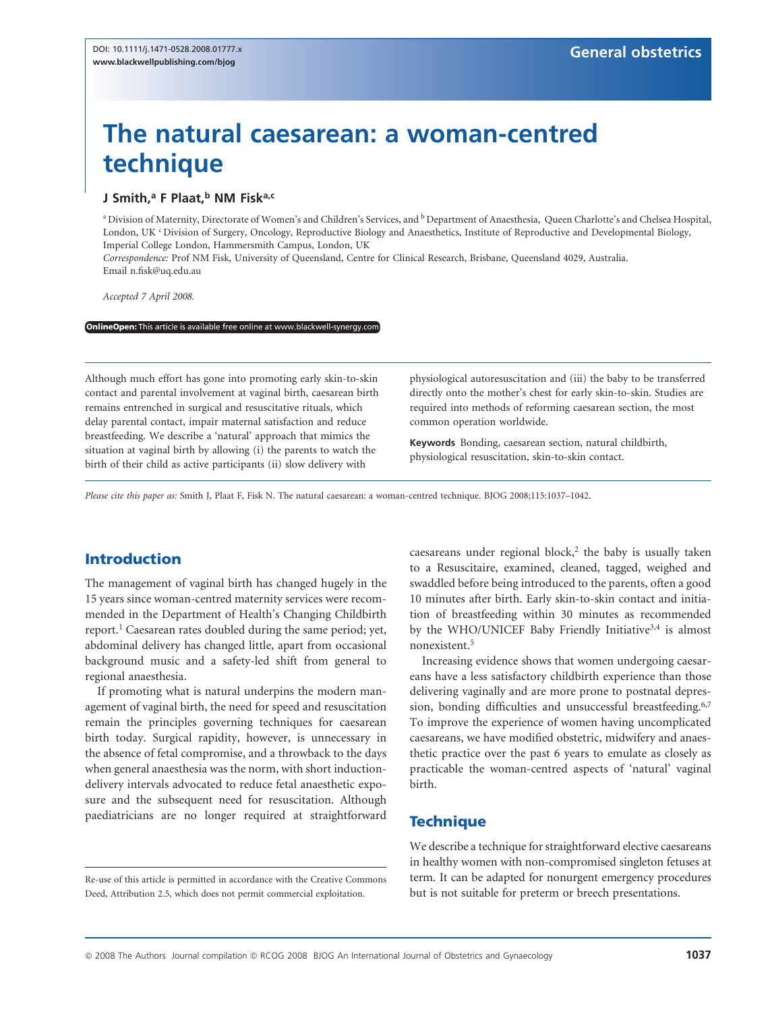# The natural caesarean: a woman-centred technique

#### J Smith,<sup>a</sup> F Plaat,<sup>b</sup> NM Fisk<sup>a,c</sup>

<sup>a</sup> Division of Maternity, Directorate of Women's and Children's Services, and <sup>b</sup> Department of Anaesthesia, Queen Charlotte's and Chelsea Hospital, London, UK <sup>c</sup> Division of Surgery, Oncology, Reproductive Biology and Anaesthetics, Institute of Reproductive and Developmental Biology, Imperial College London, Hammersmith Campus, London, UK

Correspondence: Prof NM Fisk, University of Queensland, Centre for Clinical Research, Brisbane, Queensland 4029, Australia. Email n.fisk@uq.edu.au

Accepted 7 April 2008.

OnlineOpen: This article is available free online at www.blackwell-synergy.com

Although much effort has gone into promoting early skin-to-skin contact and parental involvement at vaginal birth, caesarean birth remains entrenched in surgical and resuscitative rituals, which delay parental contact, impair maternal satisfaction and reduce breastfeeding. We describe a 'natural' approach that mimics the situation at vaginal birth by allowing (i) the parents to watch the birth of their child as active participants (ii) slow delivery with

physiological autoresuscitation and (iii) the baby to be transferred directly onto the mother's chest for early skin-to-skin. Studies are required into methods of reforming caesarean section, the most common operation worldwide.

Keywords Bonding, caesarean section, natural childbirth, physiological resuscitation, skin-to-skin contact.

Please cite this paper as: Smith J, Plaat F, Fisk N. The natural caesarean: a woman-centred technique. BJOG 2008;115:1037–1042.

#### Introduction

The management of vaginal birth has changed hugely in the 15 years since woman-centred maternity services were recommended in the Department of Health's Changing Childbirth report.<sup>1</sup> Caesarean rates doubled during the same period; yet, abdominal delivery has changed little, apart from occasional background music and a safety-led shift from general to regional anaesthesia.

If promoting what is natural underpins the modern management of vaginal birth, the need for speed and resuscitation remain the principles governing techniques for caesarean birth today. Surgical rapidity, however, is unnecessary in the absence of fetal compromise, and a throwback to the days when general anaesthesia was the norm, with short inductiondelivery intervals advocated to reduce fetal anaesthetic exposure and the subsequent need for resuscitation. Although paediatricians are no longer required at straightforward

Re-use of this article is permitted in accordance with the Creative Commons Deed, Attribution 2.5, which does not permit commercial exploitation.

caesareans under regional block, $2$  the baby is usually taken to a Resuscitaire, examined, cleaned, tagged, weighed and swaddled before being introduced to the parents, often a good 10 minutes after birth. Early skin-to-skin contact and initiation of breastfeeding within 30 minutes as recommended by the WHO/UNICEF Baby Friendly Initiative<sup>3,4</sup> is almost nonexistent.5

Increasing evidence shows that women undergoing caesareans have a less satisfactory childbirth experience than those delivering vaginally and are more prone to postnatal depression, bonding difficulties and unsuccessful breastfeeding.<sup>6,7</sup> To improve the experience of women having uncomplicated caesareans, we have modified obstetric, midwifery and anaesthetic practice over the past 6 years to emulate as closely as practicable the woman-centred aspects of 'natural' vaginal birth.

# **Technique**

We describe a technique for straightforward elective caesareans in healthy women with non-compromised singleton fetuses at term. It can be adapted for nonurgent emergency procedures but is not suitable for preterm or breech presentations.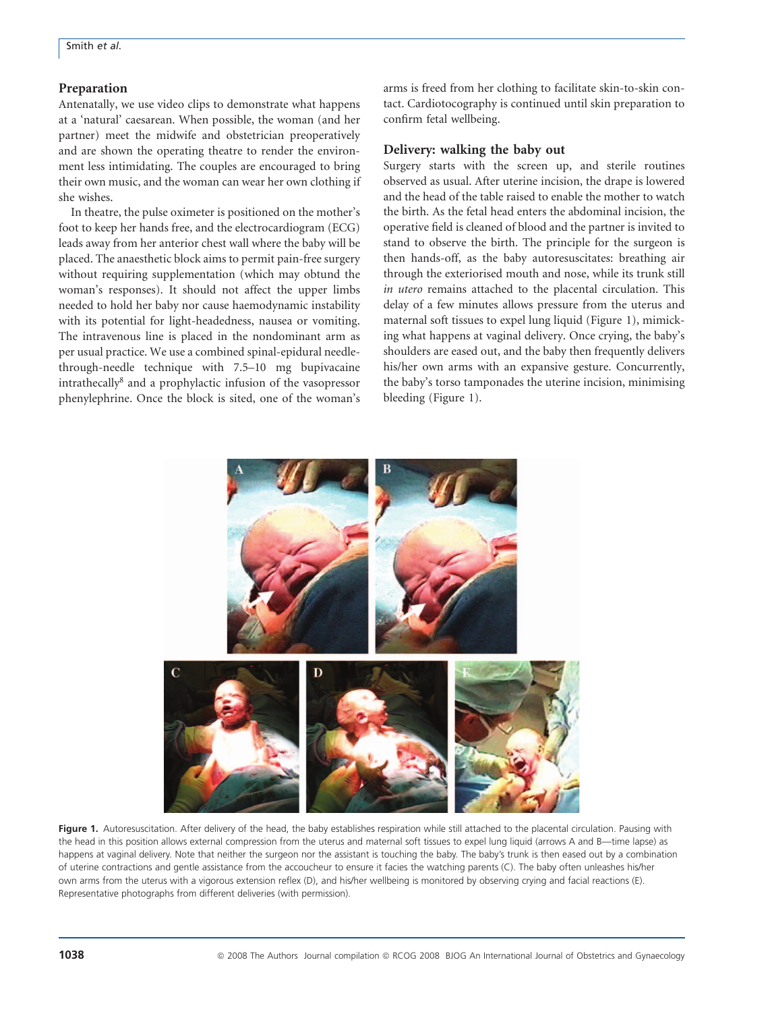#### Preparation

Antenatally, we use video clips to demonstrate what happens at a 'natural' caesarean. When possible, the woman (and her partner) meet the midwife and obstetrician preoperatively and are shown the operating theatre to render the environment less intimidating. The couples are encouraged to bring their own music, and the woman can wear her own clothing if she wishes.

In theatre, the pulse oximeter is positioned on the mother's foot to keep her hands free, and the electrocardiogram (ECG) leads away from her anterior chest wall where the baby will be placed. The anaesthetic block aims to permit pain-free surgery without requiring supplementation (which may obtund the woman's responses). It should not affect the upper limbs needed to hold her baby nor cause haemodynamic instability with its potential for light-headedness, nausea or vomiting. The intravenous line is placed in the nondominant arm as per usual practice. We use a combined spinal-epidural needlethrough-needle technique with 7.5–10 mg bupivacaine intrathecally8 and a prophylactic infusion of the vasopressor phenylephrine. Once the block is sited, one of the woman's arms is freed from her clothing to facilitate skin-to-skin contact. Cardiotocography is continued until skin preparation to confirm fetal wellbeing.

#### Delivery: walking the baby out

Surgery starts with the screen up, and sterile routines observed as usual. After uterine incision, the drape is lowered and the head of the table raised to enable the mother to watch the birth. As the fetal head enters the abdominal incision, the operative field is cleaned of blood and the partner is invited to stand to observe the birth. The principle for the surgeon is then hands-off, as the baby autoresuscitates: breathing air through the exteriorised mouth and nose, while its trunk still in utero remains attached to the placental circulation. This delay of a few minutes allows pressure from the uterus and maternal soft tissues to expel lung liquid (Figure 1), mimicking what happens at vaginal delivery. Once crying, the baby's shoulders are eased out, and the baby then frequently delivers his/her own arms with an expansive gesture. Concurrently, the baby's torso tamponades the uterine incision, minimising bleeding (Figure 1).



Figure 1. Autoresuscitation. After delivery of the head, the baby establishes respiration while still attached to the placental circulation. Pausing with the head in this position allows external compression from the uterus and maternal soft tissues to expel lung liquid (arrows A and B—time lapse) as happens at vaginal delivery. Note that neither the surgeon nor the assistant is touching the baby. The baby's trunk is then eased out by a combination of uterine contractions and gentle assistance from the accoucheur to ensure it facies the watching parents (C). The baby often unleashes his/her own arms from the uterus with a vigorous extension reflex (D), and his/her wellbeing is monitored by observing crying and facial reactions (E). Representative photographs from different deliveries (with permission).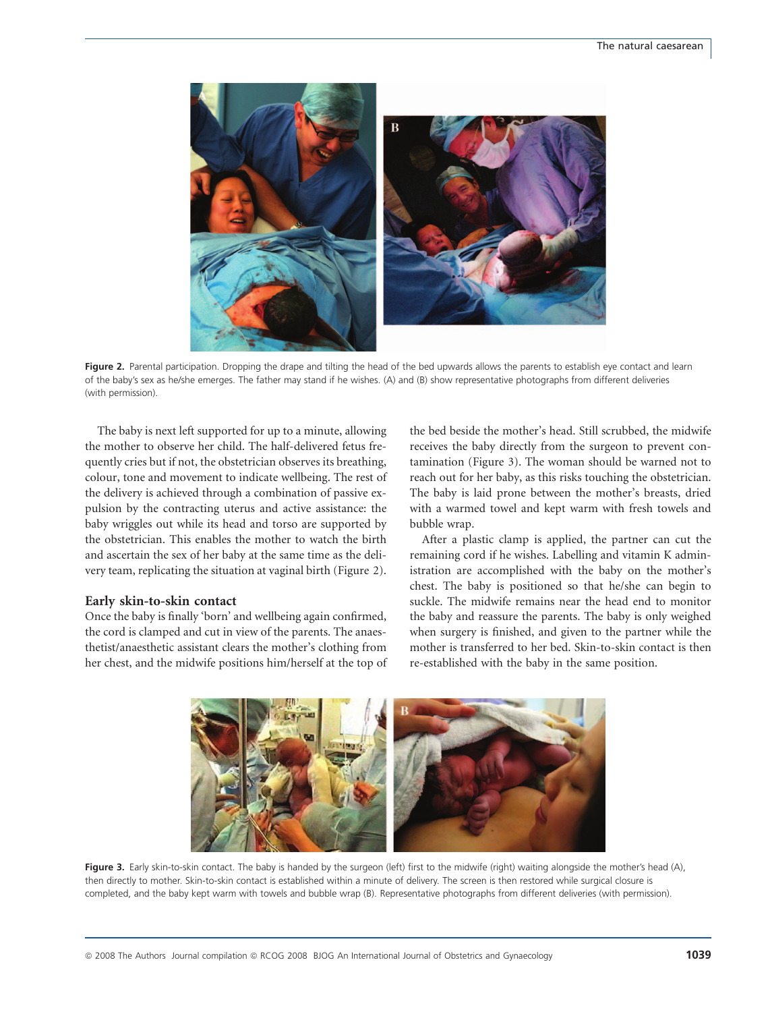

Figure 2. Parental participation. Dropping the drape and tilting the head of the bed upwards allows the parents to establish eye contact and learn of the baby's sex as he/she emerges. The father may stand if he wishes. (A) and (B) show representative photographs from different deliveries (with permission).

The baby is next left supported for up to a minute, allowing the mother to observe her child. The half-delivered fetus frequently cries but if not, the obstetrician observes its breathing, colour, tone and movement to indicate wellbeing. The rest of the delivery is achieved through a combination of passive expulsion by the contracting uterus and active assistance: the baby wriggles out while its head and torso are supported by the obstetrician. This enables the mother to watch the birth and ascertain the sex of her baby at the same time as the delivery team, replicating the situation at vaginal birth (Figure 2).

#### Early skin-to-skin contact

Once the baby is finally 'born' and wellbeing again confirmed, the cord is clamped and cut in view of the parents. The anaesthetist/anaesthetic assistant clears the mother's clothing from her chest, and the midwife positions him/herself at the top of the bed beside the mother's head. Still scrubbed, the midwife receives the baby directly from the surgeon to prevent contamination (Figure 3). The woman should be warned not to reach out for her baby, as this risks touching the obstetrician. The baby is laid prone between the mother's breasts, dried with a warmed towel and kept warm with fresh towels and bubble wrap.

After a plastic clamp is applied, the partner can cut the remaining cord if he wishes. Labelling and vitamin K administration are accomplished with the baby on the mother's chest. The baby is positioned so that he/she can begin to suckle. The midwife remains near the head end to monitor the baby and reassure the parents. The baby is only weighed when surgery is finished, and given to the partner while the mother is transferred to her bed. Skin-to-skin contact is then re-established with the baby in the same position.



Figure 3. Early skin-to-skin contact. The baby is handed by the surgeon (left) first to the midwife (right) waiting alongside the mother's head (A), then directly to mother. Skin-to-skin contact is established within a minute of delivery. The screen is then restored while surgical closure is completed, and the baby kept warm with towels and bubble wrap (B). Representative photographs from different deliveries (with permission).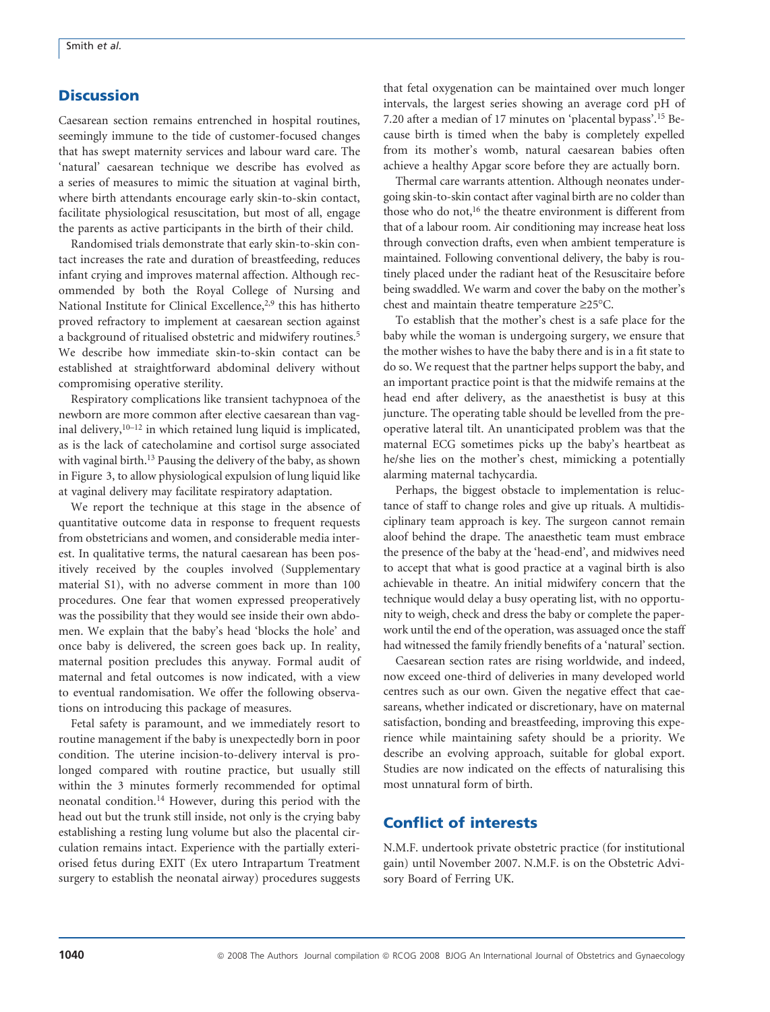# **Discussion**

Caesarean section remains entrenched in hospital routines, seemingly immune to the tide of customer-focused changes that has swept maternity services and labour ward care. The 'natural' caesarean technique we describe has evolved as a series of measures to mimic the situation at vaginal birth, where birth attendants encourage early skin-to-skin contact, facilitate physiological resuscitation, but most of all, engage the parents as active participants in the birth of their child.

Randomised trials demonstrate that early skin-to-skin contact increases the rate and duration of breastfeeding, reduces infant crying and improves maternal affection. Although recommended by both the Royal College of Nursing and National Institute for Clinical Excellence,<sup>2,9</sup> this has hitherto proved refractory to implement at caesarean section against a background of ritualised obstetric and midwifery routines.<sup>5</sup> We describe how immediate skin-to-skin contact can be established at straightforward abdominal delivery without compromising operative sterility.

Respiratory complications like transient tachypnoea of the newborn are more common after elective caesarean than vaginal delivery, $10-12$  in which retained lung liquid is implicated, as is the lack of catecholamine and cortisol surge associated with vaginal birth.<sup>13</sup> Pausing the delivery of the baby, as shown in Figure 3, to allow physiological expulsion of lung liquid like at vaginal delivery may facilitate respiratory adaptation.

We report the technique at this stage in the absence of quantitative outcome data in response to frequent requests from obstetricians and women, and considerable media interest. In qualitative terms, the natural caesarean has been positively received by the couples involved (Supplementary material S1), with no adverse comment in more than 100 procedures. One fear that women expressed preoperatively was the possibility that they would see inside their own abdomen. We explain that the baby's head 'blocks the hole' and once baby is delivered, the screen goes back up. In reality, maternal position precludes this anyway. Formal audit of maternal and fetal outcomes is now indicated, with a view to eventual randomisation. We offer the following observations on introducing this package of measures.

Fetal safety is paramount, and we immediately resort to routine management if the baby is unexpectedly born in poor condition. The uterine incision-to-delivery interval is prolonged compared with routine practice, but usually still within the 3 minutes formerly recommended for optimal neonatal condition.<sup>14</sup> However, during this period with the head out but the trunk still inside, not only is the crying baby establishing a resting lung volume but also the placental circulation remains intact. Experience with the partially exteriorised fetus during EXIT (Ex utero Intrapartum Treatment surgery to establish the neonatal airway) procedures suggests

that fetal oxygenation can be maintained over much longer intervals, the largest series showing an average cord pH of 7.20 after a median of 17 minutes on 'placental bypass'.15 Because birth is timed when the baby is completely expelled from its mother's womb, natural caesarean babies often achieve a healthy Apgar score before they are actually born.

Thermal care warrants attention. Although neonates undergoing skin-to-skin contact after vaginal birth are no colder than those who do not,<sup>16</sup> the theatre environment is different from that of a labour room. Air conditioning may increase heat loss through convection drafts, even when ambient temperature is maintained. Following conventional delivery, the baby is routinely placed under the radiant heat of the Resuscitaire before being swaddled. We warm and cover the baby on the mother's chest and maintain theatre temperature ≥25°C.

To establish that the mother's chest is a safe place for the baby while the woman is undergoing surgery, we ensure that the mother wishes to have the baby there and is in a fit state to do so. We request that the partner helps support the baby, and an important practice point is that the midwife remains at the head end after delivery, as the anaesthetist is busy at this juncture. The operating table should be levelled from the preoperative lateral tilt. An unanticipated problem was that the maternal ECG sometimes picks up the baby's heartbeat as he/she lies on the mother's chest, mimicking a potentially alarming maternal tachycardia.

Perhaps, the biggest obstacle to implementation is reluctance of staff to change roles and give up rituals. A multidisciplinary team approach is key. The surgeon cannot remain aloof behind the drape. The anaesthetic team must embrace the presence of the baby at the 'head-end', and midwives need to accept that what is good practice at a vaginal birth is also achievable in theatre. An initial midwifery concern that the technique would delay a busy operating list, with no opportunity to weigh, check and dress the baby or complete the paperwork until the end of the operation, was assuaged once the staff had witnessed the family friendly benefits of a 'natural' section.

Caesarean section rates are rising worldwide, and indeed, now exceed one-third of deliveries in many developed world centres such as our own. Given the negative effect that caesareans, whether indicated or discretionary, have on maternal satisfaction, bonding and breastfeeding, improving this experience while maintaining safety should be a priority. We describe an evolving approach, suitable for global export. Studies are now indicated on the effects of naturalising this most unnatural form of birth.

#### Conflict of interests

N.M.F. undertook private obstetric practice (for institutional gain) until November 2007. N.M.F. is on the Obstetric Advisory Board of Ferring UK.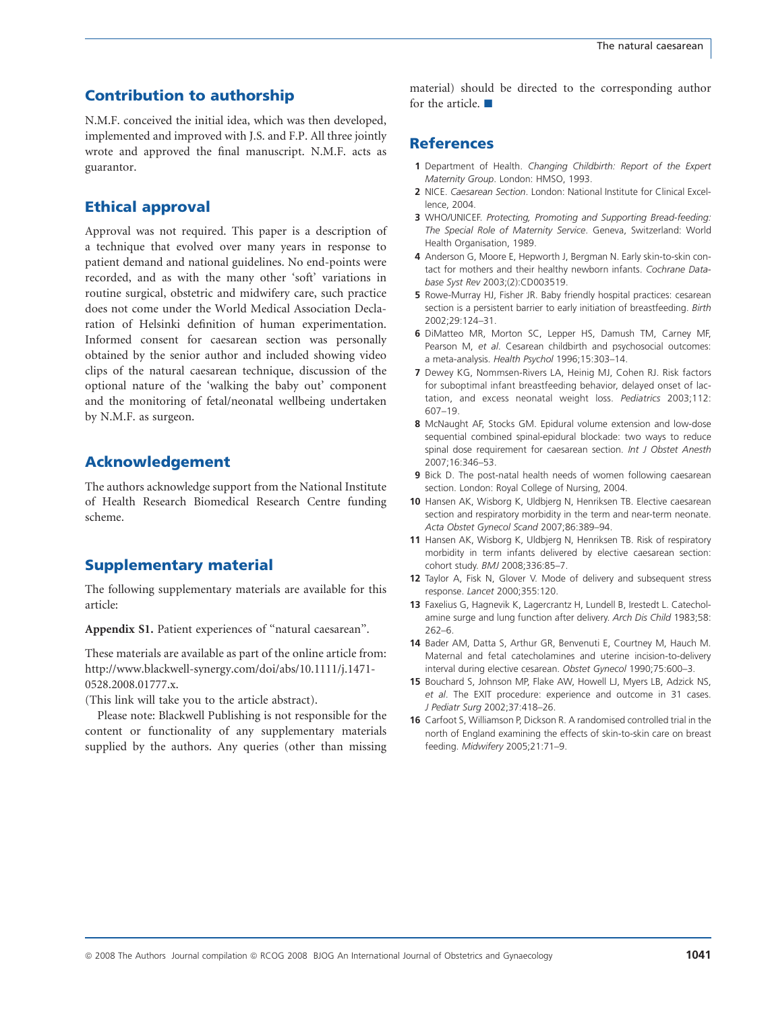### Contribution to authorship

N.M.F. conceived the initial idea, which was then developed, implemented and improved with J.S. and F.P. All three jointly wrote and approved the final manuscript. N.M.F. acts as guarantor.

### Ethical approval

Approval was not required. This paper is a description of a technique that evolved over many years in response to patient demand and national guidelines. No end-points were recorded, and as with the many other 'soft' variations in routine surgical, obstetric and midwifery care, such practice does not come under the World Medical Association Declaration of Helsinki definition of human experimentation. Informed consent for caesarean section was personally obtained by the senior author and included showing video clips of the natural caesarean technique, discussion of the optional nature of the 'walking the baby out' component and the monitoring of fetal/neonatal wellbeing undertaken by N.M.F. as surgeon.

# Acknowledgement

The authors acknowledge support from the National Institute of Health Research Biomedical Research Centre funding scheme.

#### Supplementary material

The following supplementary materials are available for this article:

Appendix S1. Patient experiences of ''natural caesarean''.

These materials are available as part of the online article from: http://www.blackwell-synergy.com/doi/abs/10.1111/j.1471- 0528.2008.01777.x.

(This link will take you to the article abstract).

Please note: Blackwell Publishing is not responsible for the content or functionality of any supplementary materials supplied by the authors. Any queries (other than missing material) should be directed to the corresponding author for the article.  $\blacksquare$ 

#### **References**

- 1 Department of Health. Changing Childbirth: Report of the Expert Maternity Group. London: HMSO, 1993.
- 2 NICE. Caesarean Section. London: National Institute for Clinical Excellence, 2004.
- 3 WHO/UNICEF. Protecting, Promoting and Supporting Bread-feeding: The Special Role of Maternity Service. Geneva, Switzerland: World Health Organisation, 1989.
- 4 Anderson G, Moore E, Hepworth J, Bergman N. Early skin-to-skin contact for mothers and their healthy newborn infants. Cochrane Database Syst Rev 2003;(2):CD003519.
- 5 Rowe-Murray HJ, Fisher JR. Baby friendly hospital practices: cesarean section is a persistent barrier to early initiation of breastfeeding. Birth 2002;29:124–31.
- 6 DiMatteo MR, Morton SC, Lepper HS, Damush TM, Carney MF, Pearson M, et al. Cesarean childbirth and psychosocial outcomes: a meta-analysis. Health Psychol 1996;15:303–14.
- 7 Dewey KG, Nommsen-Rivers LA, Heinig MJ, Cohen RJ. Risk factors for suboptimal infant breastfeeding behavior, delayed onset of lactation, and excess neonatal weight loss. Pediatrics 2003;112: 607–19.
- 8 McNaught AF, Stocks GM. Epidural volume extension and low-dose sequential combined spinal-epidural blockade: two ways to reduce spinal dose requirement for caesarean section. Int J Obstet Anesth 2007;16:346–53.
- 9 Bick D. The post-natal health needs of women following caesarean section. London: Royal College of Nursing, 2004.
- 10 Hansen AK, Wisborg K, Uldbjerg N, Henriksen TB. Elective caesarean section and respiratory morbidity in the term and near-term neonate. Acta Obstet Gynecol Scand 2007;86:389–94.
- 11 Hansen AK, Wisborg K, Uldbjerg N, Henriksen TB. Risk of respiratory morbidity in term infants delivered by elective caesarean section: cohort study. BMJ 2008;336:85–7.
- 12 Taylor A, Fisk N, Glover V. Mode of delivery and subsequent stress response. Lancet 2000;355:120.
- 13 Faxelius G, Hagnevik K, Lagercrantz H, Lundell B, Irestedt L. Catecholamine surge and lung function after delivery. Arch Dis Child 1983;58: 262–6.
- 14 Bader AM, Datta S, Arthur GR, Benvenuti E, Courtney M, Hauch M. Maternal and fetal catecholamines and uterine incision-to-delivery interval during elective cesarean. Obstet Gynecol 1990;75:600–3.
- 15 Bouchard S, Johnson MP, Flake AW, Howell LJ, Myers LB, Adzick NS, et al. The EXIT procedure: experience and outcome in 31 cases. J Pediatr Surg 2002;37:418–26.
- 16 Carfoot S, Williamson P, Dickson R. A randomised controlled trial in the north of England examining the effects of skin-to-skin care on breast feeding. Midwifery 2005;21:71–9.